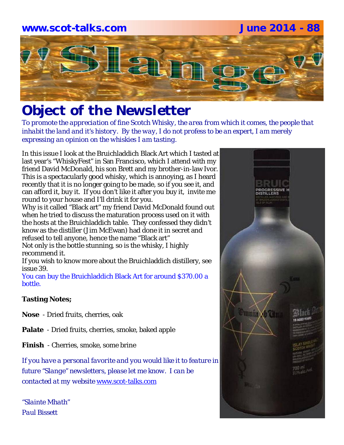

# *Object of the Newsletter*

*To promote the appreciation of fine Scotch Whisky, the area from which it comes, the people that inhabit the land and it's history. By the way, I do not profess to be an expert, I am merely expressing an opinion on the whiskies I am tasting.* 

In this issue I look at the Bruichladdich Black Art which I tasted at last year's "WhiskyFest" in San Francisco, which I attend with my friend David McDonald, his son Brett and my brother-in-law Ivor. This is a spectacularly good whisky, which is annoying, as I heard recently that it is no longer going to be made, so if you see it, and can afford it, buy it. If you don't like it after you buy it, invite me round to your house and I'll drink it for you.

Why is it called "Black art" my friend David McDonald found out when he tried to discuss the maturation process used on it with the hosts at the Bruichladdich table. They confessed they didn't know as the distiller (Jim McEwan) had done it in secret and refused to tell anyone, hence the name "Black art" Not only is the bottle stunning, so is the whisky, I highly recommend it.

If you wish to know more about the Bruichladdich distillery, see issue 39.

You can buy the Bruichladdich Black Art for around \$370.00 a bottle.

## **Tasting Notes;**

**Nose** - Dried fruits, cherries, oak

**Palate** - Dried fruits, cherries, smoke, baked apple

**Finish** - Cherries, smoke, some brine

*If you have a personal favorite and you would like it to feature in future "Slange" newsletters, please let me know. I can be contacted at my website* www.scot-talks.com

*"Slainte Mhath" Paul Bissett*

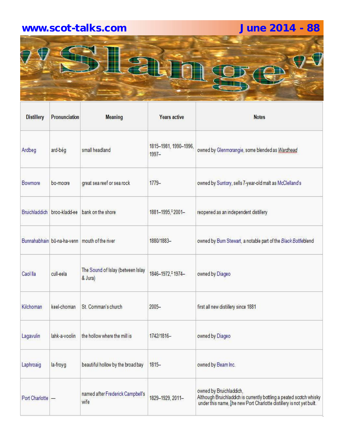# **www.scot-talks.com June 2014 - 88**



| <b>Distillery</b>    | Pronunciation | <b>Meaning</b>                                | <b>Years active</b>               | <b>Notes</b>                                                                                                                                                           |
|----------------------|---------------|-----------------------------------------------|-----------------------------------|------------------------------------------------------------------------------------------------------------------------------------------------------------------------|
| Ardbeg               | ard-bég       | small headland                                | 1815-1981, 1990-1996,<br>$1997 -$ | owned by Glenmorangie, some blended as Wardhead                                                                                                                        |
| Bowmore              | bo-moore      | great sea reef or sea rock                    | $1779-$                           | owned by Suntory, sells 7-year-old malt as McClelland's                                                                                                                |
| <b>Bruichladdich</b> | broo-kladd-ee | bank on the shore                             | 1881-1995, 2001-                  | reopened as an independent distillery                                                                                                                                  |
|                      |               | Bunnahabhain bū-na-ha-venn mouth of the river | 1880/1883-                        | owned by Burn Stewart, a notable part of the Black Bottleblend                                                                                                         |
| Caol lla             | cull-eela     | The Sound of Islay (between Islay<br>& Jura)  | 1846-1972, <sup>‡</sup> 1974-     | owned by Diageo                                                                                                                                                        |
| Kilchoman            | keel-choman   | St. Comman's church                           | $2005 -$                          | first all new distillery since 1881                                                                                                                                    |
| Lagavulin            | lahk-a-voolin | the hollow where the mill is                  | 1742/1816-                        | owned by Diageo                                                                                                                                                        |
| Laphroaig            | la-froyg      | beautiful hollow by the broad bay             | $1815 -$                          | owned by Beam Inc.                                                                                                                                                     |
| Port Charlotte -     |               | named after Frederick Campbell's<br>wife      | 1829-1929, 2011-                  | owned by Bruichladdich,<br>Although Bruichladdich is currently bottling a peated scotch whisky<br>under this name, the new Port Charlotte distillery is not yet built. |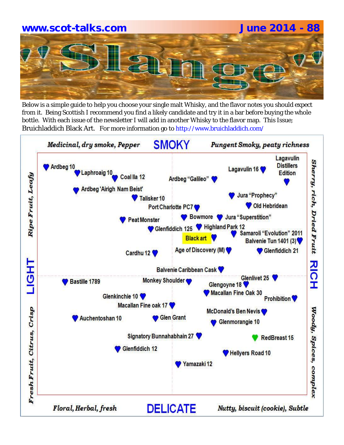# **www.scot-talks.com June 2014 - 88**

Below is a simple guide to help you choose your single malt Whisky, and the flavor notes you should expect from it. Being Scottish I recommend you find a likely candidate and try it in a bar before buying the whole bottle. With each issue of the newsletter I will add in another Whisky to the flavor map. This Issue; Bruichladdich Black Art. For more information go to http://www.bruichladdich.com/

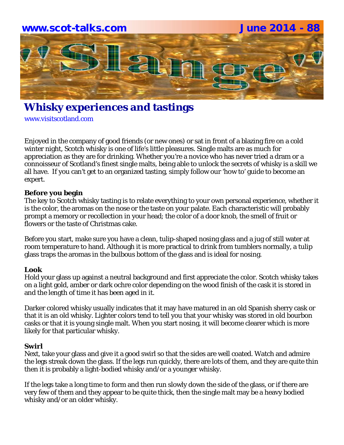

# **Whisky experiences and tastings**

www.visitscotland.com

Enjoyed in the company of good friends (or new ones) or sat in front of a blazing fire on a cold winter night, Scotch whisky is one of life's little pleasures. Single malts are as much for appreciation as they are for drinking. Whether you're a novice who has never tried a dram or a connoisseur of Scotland's finest single malts, being able to unlock the secrets of whisky is a skill we all have. If you can't get to an organized tasting, simply follow our 'how to' guide to become an expert.

### **Before you begin**

The key to Scotch whisky tasting is to relate everything to your own personal experience, whether it is the color, the aromas on the nose or the taste on your palate. Each characteristic will probably prompt a memory or recollection in your head; the color of a door knob, the smell of fruit or flowers or the taste of Christmas cake.

Before you start, make sure you have a clean, tulip-shaped nosing glass and a jug of still water at room temperature to hand. Although it is more practical to drink from tumblers normally, a tulip glass traps the aromas in the bulbous bottom of the glass and is ideal for nosing.

### **Look**

Hold your glass up against a neutral background and first appreciate the color. Scotch whisky takes on a light gold, amber or dark ochre color depending on the wood finish of the cask it is stored in and the length of time it has been aged in it.

Darker colored whisky usually indicates that it may have matured in an old Spanish sherry cask or that it is an old whisky. Lighter colors tend to tell you that your whisky was stored in old bourbon casks or that it is young single malt. When you start nosing, it will become clearer which is more likely for that particular whisky.

### **Swirl**

Next, take your glass and give it a good swirl so that the sides are well coated. Watch and admire the legs streak down the glass. If the legs run quickly, there are lots of them, and they are quite thin then it is probably a light-bodied whisky and/or a younger whisky.

If the legs take a long time to form and then run slowly down the side of the glass, or if there are very few of them and they appear to be quite thick, then the single malt may be a heavy bodied whisky and/or an older whisky.